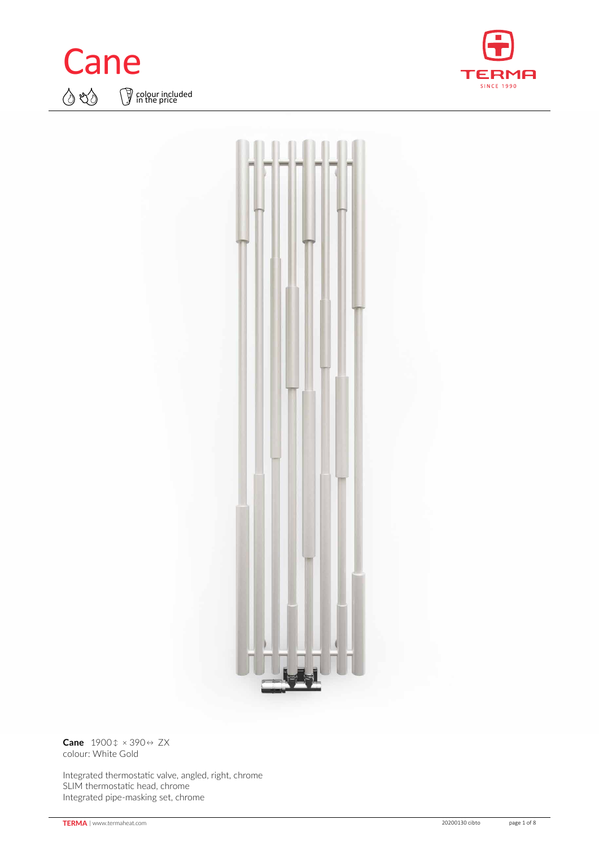





**Cane** 1900 ↕ × 390 ↔ ZX colour: White Gold

Integrated thermostatic valve, angled, right, chrome SLIM thermostatic head, chrome Integrated pipe‑masking set, chrome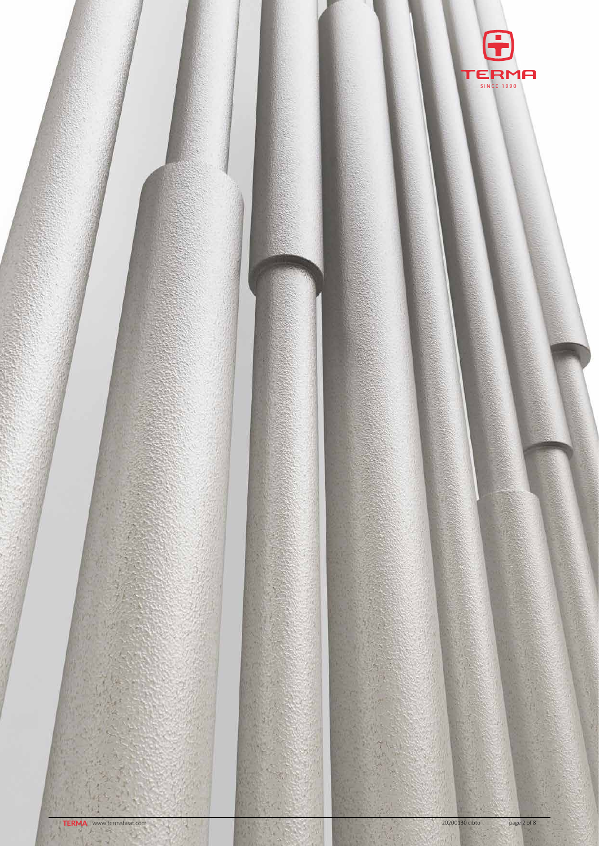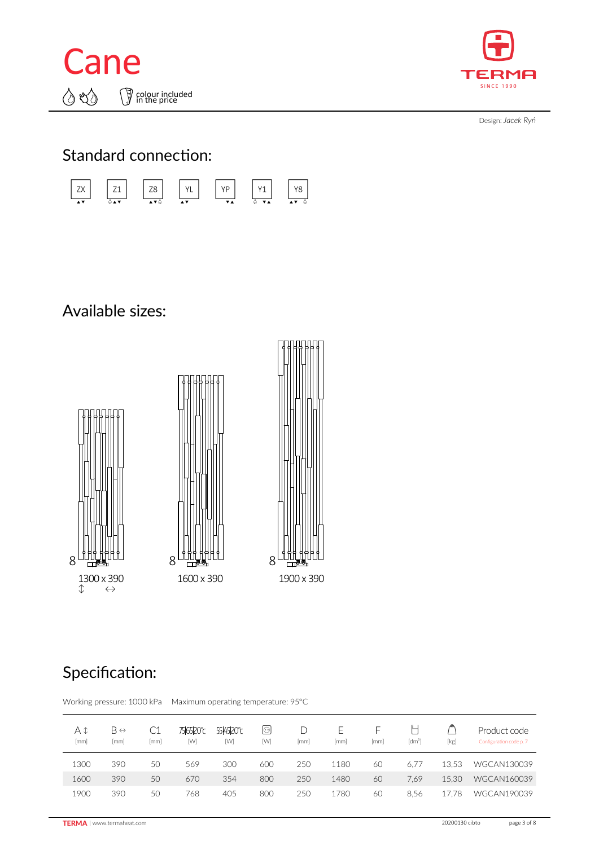



Design: *Jacek Ryń*

# Standard connection:



#### Available sizes:



# Specification:

Working pressure: 1000 kPa Maximum operating temperature: 95°C

| А¢<br>[mm] | $B \leftrightarrow$<br>[mm] | C1<br>[mm] | 756520°C<br>ΙWΙ | 55 45 20°C<br>[W] | ◙<br>[W] | D<br>[mm] | E<br>mm | F<br>[mm] | [dm <sup>3</sup> ] | [kg]  | Product code<br>Configuration code p. 7 |
|------------|-----------------------------|------------|-----------------|-------------------|----------|-----------|---------|-----------|--------------------|-------|-----------------------------------------|
| 1300       | 390                         | 50         | 569             | 300               | 600      | 250       | 1180    | 60        | 6.77               | 13.53 | WGCAN130039                             |
| 1600       | 390                         | 50         | 670             | 354               | 800      | 250       | 1480    | 60        | 7.69               | 15,30 | WGCAN160039                             |
| 1900       | 390                         | 50         | 768             | 405               | 800      | 250       | 1780    | 60        | 8.56               | 17.78 | WGCAN190039                             |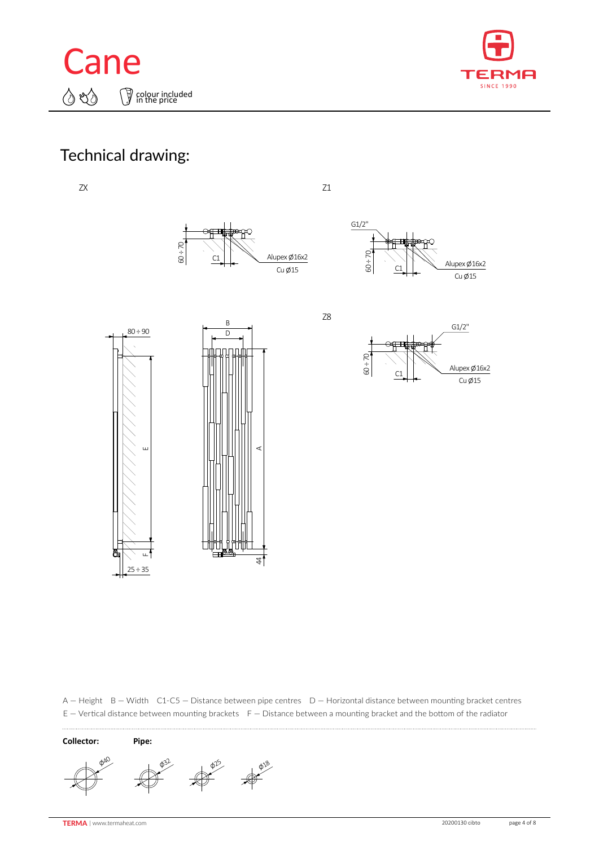



# Technical drawing:



a – Height B – Width C1-C5 – Distance between pipe centres D – Horizontal distance between mounting bracket centres  $E -$  Vertical distance between mounting brackets  $F -$  Distance between a mounting bracket and the bottom of the radiator

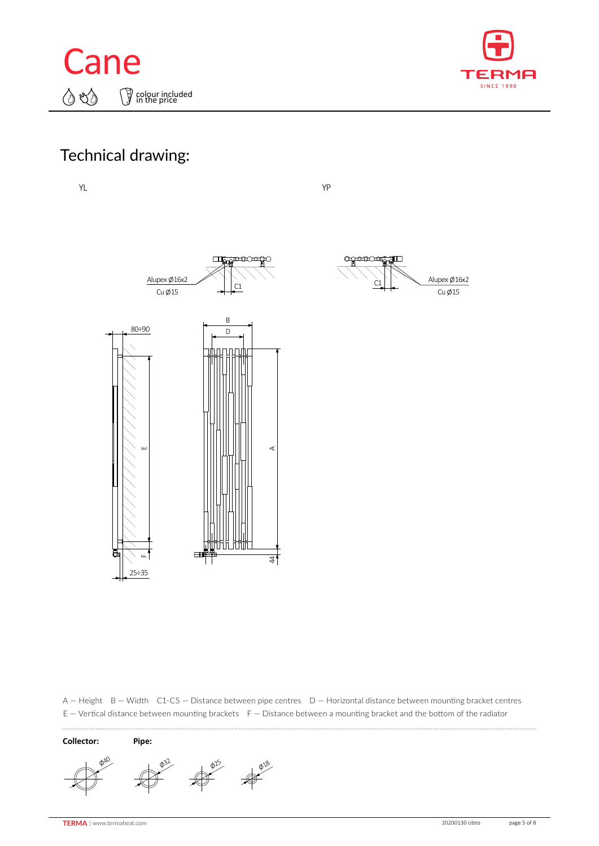



Alupex Ø16x2  $Cu$  Ø15

### Technical drawing:

YL

YP

 $OQ$ 



a – Height B – Width C1-C5 – Distance between pipe centres D – Horizontal distance between mounting bracket centres  $E -$  Vertical distance between mounting brackets  $F -$  Distance between a mounting bracket and the bottom of the radiator



 $\ddotsc$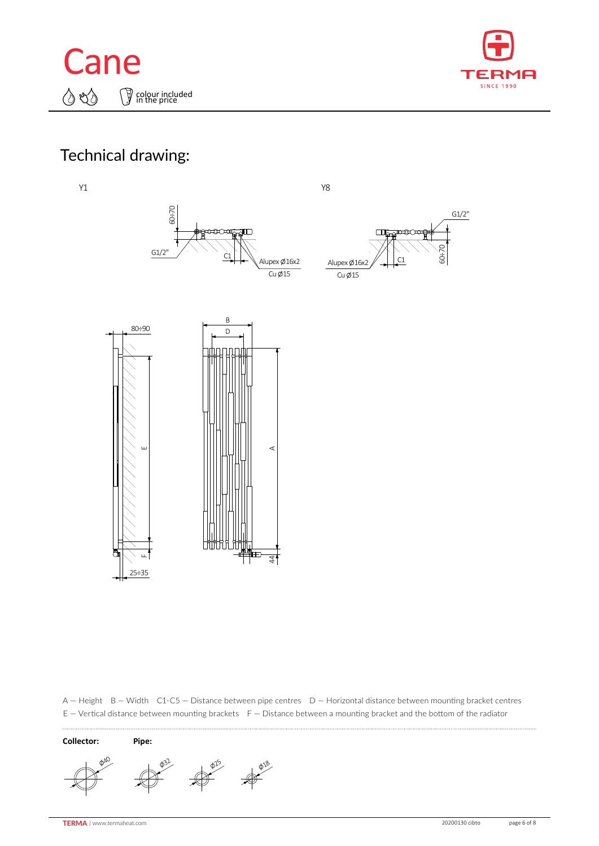



## Technical drawing:



a – Height B – Width C1-C5 – Distance between pipe centres D – Horizontal distance between mounting bracket centres  $E -$  Vertical distance between mounting brackets  $F -$  Distance between a mounting bracket and the bottom of the radiator

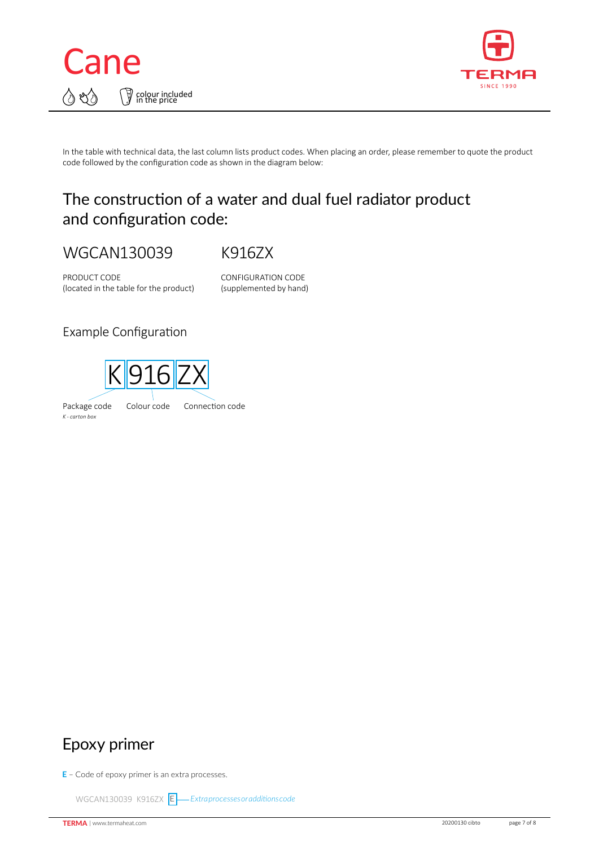



In the table with technical data, the last column lists product codes. When placing an order, please remember to quote the product code followed by the configuration code as shown in the diagram below:

#### The construction of a water and dual fuel radiator product and configuration code:

#### WGCAN130039

K916ZX

PRODUCT CODE (located in the table for the product) CONFIGURATION CODE (supplemented by hand)

#### Example Configuration



# Epoxy primer

**E** – Code of epoxy primer is an extra processes.

WGCAN130039 K916ZX E-*Extra processes or additions code*